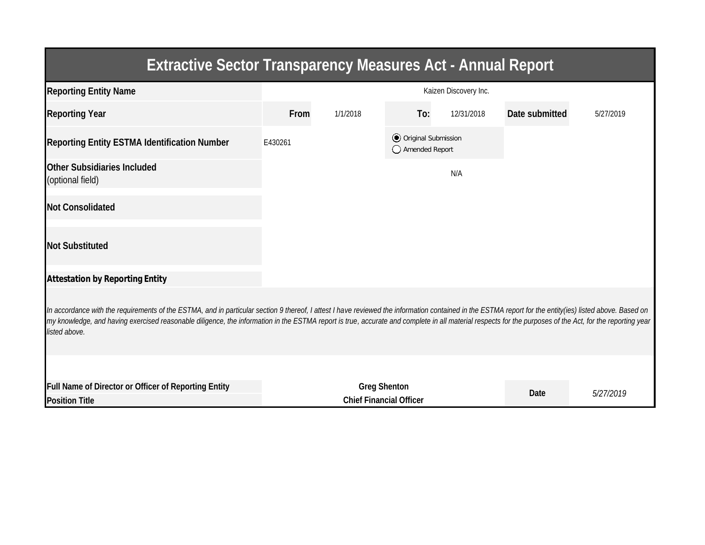| <b>Extractive Sector Transparency Measures Act - Annual Report</b>                                                                                                                                                                                                                                                                                                                                                                    |                                                       |          |                                                  |            |                |           |  |  |  |  |
|---------------------------------------------------------------------------------------------------------------------------------------------------------------------------------------------------------------------------------------------------------------------------------------------------------------------------------------------------------------------------------------------------------------------------------------|-------------------------------------------------------|----------|--------------------------------------------------|------------|----------------|-----------|--|--|--|--|
| <b>Reporting Entity Name</b>                                                                                                                                                                                                                                                                                                                                                                                                          | Kaizen Discovery Inc.                                 |          |                                                  |            |                |           |  |  |  |  |
| <b>Reporting Year</b>                                                                                                                                                                                                                                                                                                                                                                                                                 | From                                                  | 1/1/2018 | To:                                              | 12/31/2018 | Date submitted | 5/27/2019 |  |  |  |  |
| <b>Reporting Entity ESTMA Identification Number</b>                                                                                                                                                                                                                                                                                                                                                                                   | E430261                                               |          | <b>⊙</b> Original Submission<br>◯ Amended Report |            |                |           |  |  |  |  |
| <b>Other Subsidiaries Included</b><br>(optional field)                                                                                                                                                                                                                                                                                                                                                                                |                                                       |          |                                                  | N/A        |                |           |  |  |  |  |
| <b>Not Consolidated</b>                                                                                                                                                                                                                                                                                                                                                                                                               |                                                       |          |                                                  |            |                |           |  |  |  |  |
| <b>Not Substituted</b>                                                                                                                                                                                                                                                                                                                                                                                                                |                                                       |          |                                                  |            |                |           |  |  |  |  |
| <b>Attestation by Reporting Entity</b>                                                                                                                                                                                                                                                                                                                                                                                                |                                                       |          |                                                  |            |                |           |  |  |  |  |
| In accordance with the requirements of the ESTMA, and in particular section 9 thereof, I attest I have reviewed the information contained in the ESTMA report for the entity(ies) listed above. Based on<br>my knowledge, and having exercised reasonable diligence, the information in the ESTMA report is true, accurate and complete in all material respects for the purposes of the Act, for the reporting year<br>listed above. |                                                       |          |                                                  |            |                |           |  |  |  |  |
|                                                                                                                                                                                                                                                                                                                                                                                                                                       |                                                       |          |                                                  |            |                |           |  |  |  |  |
| <b>Full Name of Director or Officer of Reporting Entity</b><br><b>Position Title</b>                                                                                                                                                                                                                                                                                                                                                  | <b>Greg Shenton</b><br><b>Chief Financial Officer</b> |          |                                                  |            | <b>Date</b>    | 5/27/2019 |  |  |  |  |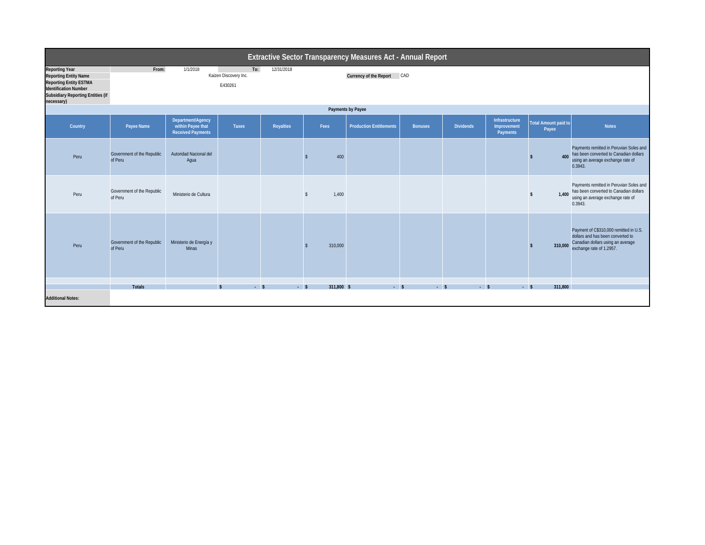|                                                                                                                                                                                  | Extractive Sector Transparency Measures Act - Annual Report |                                                                    |                                         |                  |                    |                                |                |                  |                                                                |                                      |                                                                                                                                              |  |
|----------------------------------------------------------------------------------------------------------------------------------------------------------------------------------|-------------------------------------------------------------|--------------------------------------------------------------------|-----------------------------------------|------------------|--------------------|--------------------------------|----------------|------------------|----------------------------------------------------------------|--------------------------------------|----------------------------------------------------------------------------------------------------------------------------------------------|--|
| <b>Reporting Year</b><br><b>Reporting Entity Name</b><br><b>Reporting Entity ESTMA</b><br><b>Identification Number</b><br><b>Subsidiary Reporting Entities (if</b><br>necessary) | From:                                                       | 1/1/2018                                                           | To:<br>Kaizen Discovery Inc.<br>E430261 | 12/31/2018       |                    | Currency of the Report CAD     |                |                  |                                                                |                                      |                                                                                                                                              |  |
|                                                                                                                                                                                  | <b>Payments by Payee</b>                                    |                                                                    |                                         |                  |                    |                                |                |                  |                                                                |                                      |                                                                                                                                              |  |
| Country                                                                                                                                                                          | Payee Name                                                  | Department/Agency<br>within Payee that<br><b>Received Payments</b> | <b>Taxes</b>                            | <b>Royalties</b> | Fees               | <b>Production Entitlements</b> | <b>Bonuses</b> | <b>Dividends</b> | <b>Infrastructure</b><br><b>Improvement</b><br><b>Payments</b> | <b>Total Amount paid to</b><br>Payee | <b>Notes</b>                                                                                                                                 |  |
| Peru                                                                                                                                                                             | Government of the Republic<br>of Peru                       | Autoridad Nacional del<br>Agua                                     |                                         |                  | 400                |                                |                |                  |                                                                | 400                                  | Payments remitted in Peruvian Soles and<br>has been converted to Canadian dollars<br>using an average exchange rate of<br>0.3943.            |  |
| Peru                                                                                                                                                                             | Government of the Republic<br>of Peru                       | Ministerio de Cultura                                              |                                         |                  | 1,400<br>S         |                                |                |                  |                                                                | 1,400                                | Payments remitted in Peruvian Soles and<br>has been converted to Canadian dollars<br>using an average exchange rate of<br>0.3943.            |  |
| Peru                                                                                                                                                                             | Government of the Republic<br>of Peru                       | Ministerio de Energía y<br><b>Minas</b>                            |                                         |                  | 310,000            |                                |                |                  |                                                                | 310,000                              | Payment of C\$310,000 remitted in U.S.<br>dollars and has been converted to<br>Canadian dollars using an average<br>exchange rate of 1.2957. |  |
|                                                                                                                                                                                  | <b>Totals</b>                                               |                                                                    | $-5$                                    |                  | 311,800 \$<br>$-5$ | $-5$                           |                | $-5$<br>$-5$     |                                                                | 311,800<br>$-5$                      |                                                                                                                                              |  |
| <b>Additional Notes:</b>                                                                                                                                                         |                                                             |                                                                    |                                         |                  |                    |                                |                |                  |                                                                |                                      |                                                                                                                                              |  |